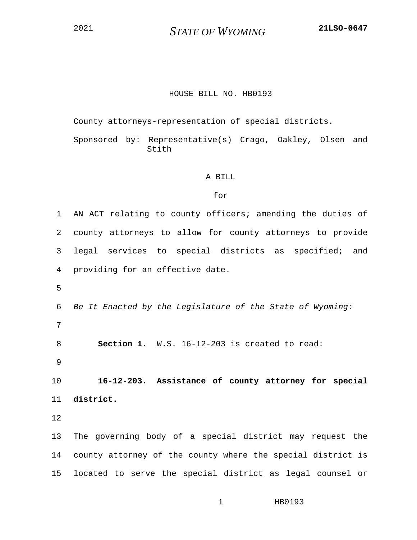<sup>2021</sup> *STATE OF WYOMING* **21LSO-0647**

## HOUSE BILL NO. HB0193

County attorneys-representation of special districts.

Sponsored by: Representative(s) Crago, Oakley, Olsen and Stith

## A BILL

## for

1 AN ACT relating to county officers; amending the duties of 2 county attorneys to allow for county attorneys to provide 3 legal services to special districts as specified; and 4 providing for an effective date. 5 6 *Be It Enacted by the Legislature of the State of Wyoming:* 7

8 **Section 1**. W.S. 16-12-203 is created to read:

9

10 **16-12-203. Assistance of county attorney for special**  11 **district.**

12

13 The governing body of a special district may request the 14 county attorney of the county where the special district is 15 located to serve the special district as legal counsel or

1 HB0193